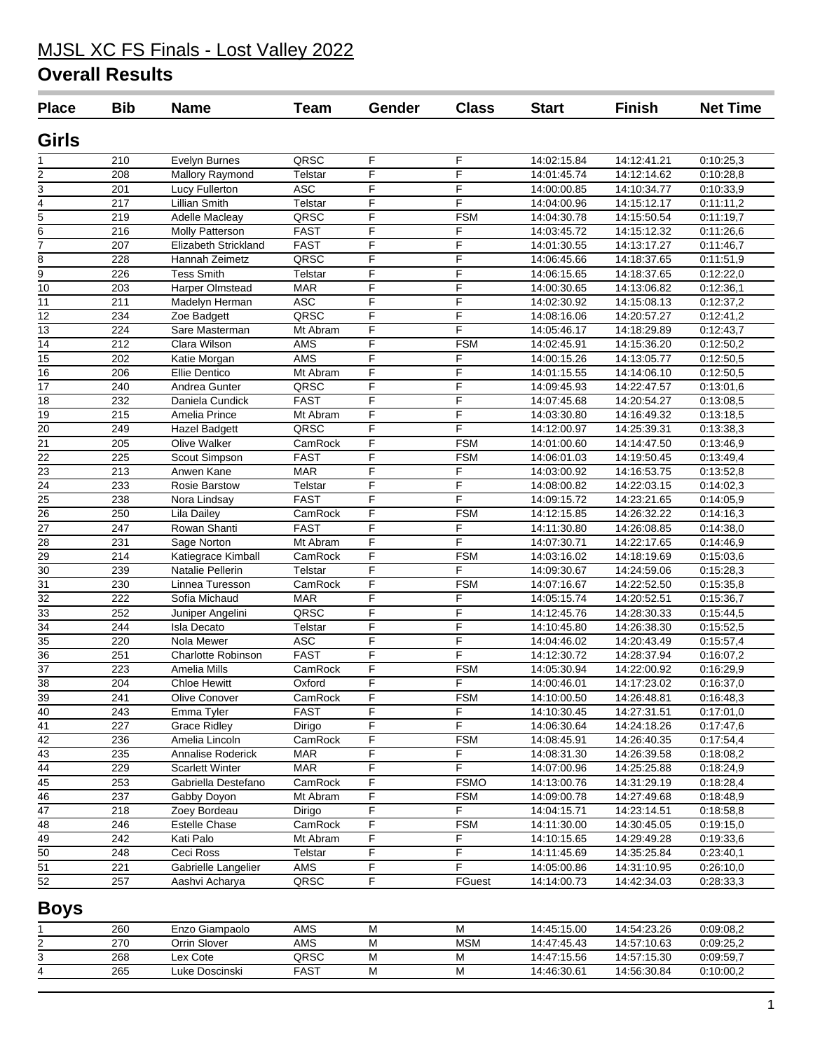# MJSL XC FS Finals - Lost Valley 2022

### **Overall Results**

| <b>Place</b>          | <b>Bib</b> | <b>Name</b>                      | <b>Team</b>           | Gender         | <b>Class</b> | <b>Start</b>               | <b>Finish</b>              | <b>Net Time</b>        |
|-----------------------|------------|----------------------------------|-----------------------|----------------|--------------|----------------------------|----------------------------|------------------------|
| Girls                 |            |                                  |                       |                |              |                            |                            |                        |
|                       | 210        | <b>Evelyn Burnes</b>             | QRSC                  | F              | F            | 14:02:15.84                | 14:12:41.21                | 0:10:25,3              |
| 2                     | 208        | Mallory Raymond                  | Telstar               | F              | F            | 14:01:45.74                | 14:12:14.62                | 0:10:28,8              |
| 3                     | 201        | Lucy Fullerton                   | <b>ASC</b>            | F              | F            | 14:00:00.85                | 14:10:34.77                | 0:10:33,9              |
| 4                     | 217        | <b>Lillian Smith</b>             | Telstar               | F              | F            | 14:04:00.96                | 14:15:12.17                | 0:11:11,2              |
| $\overline{5}$        | 219        | Adelle Macleay                   | QRSC                  | F              | <b>FSM</b>   | 14:04:30.78                | 14:15:50.54                | 0:11:19,7              |
| 6                     | 216        | <b>Molly Patterson</b>           | <b>FAST</b>           | F              | F            | 14:03:45.72                | 14:15:12.32                | 0:11:26,6              |
| 7                     | 207        | Elizabeth Strickland             | <b>FAST</b>           | $\overline{F}$ | F            | 14:01:30.55                | 14:13:17.27                | 0:11:46,7              |
| 8                     | 228        | Hannah Zeimetz                   | QRSC                  | F              | F            | 14:06:45.66                | 14:18:37.65                | 0:11:51,9              |
| 9                     | 226        | <b>Tess Smith</b>                | Telstar               | F              | F            | 14:06:15.65                | 14:18:37.65                | 0:12:22,0              |
| 10                    | 203        | Harper Olmstead                  | <b>MAR</b>            | F              | F            | 14:00:30.65                | 14:13:06.82                | 0:12:36,1              |
| 11                    | 211        | Madelyn Herman                   | <b>ASC</b>            | F              | F            | 14:02:30.92                | 14:15:08.13                | 0:12:37,2              |
| 12                    | 234        | Zoe Badgett                      | QRSC                  | F              | $\mathsf F$  | 14:08:16.06                | 14:20:57.27                | 0:12:41,2              |
| 13                    | 224        | Sare Masterman                   | Mt Abram              | F              | F            | 14:05:46.17                | 14:18:29.89                | 0:12:43,7              |
| 14                    | 212        | Clara Wilson                     | <b>AMS</b>            | F              | <b>FSM</b>   | 14:02:45.91                | 14:15:36.20                | 0:12:50,2              |
| $\overline{15}$       | 202        | Katie Morgan                     | <b>AMS</b>            | F              | F            | 14:00:15.26                | 14:13:05.77                | 0:12:50,5              |
| $\overline{16}$       | 206        | <b>Ellie Dentico</b>             | Mt Abram              | $\overline{F}$ | F            | 14:01:15.55                | 14:14:06.10                | 0:12:50,5              |
| 17                    | 240        | Andrea Gunter                    | QRSC                  | F              | F            | 14:09:45.93                | 14:22:47.57                | 0:13:01,6              |
| 18                    | 232        | Daniela Cundick                  | <b>FAST</b>           | F              | F            | 14:07:45.68                | 14:20:54.27                | 0:13:08,5              |
| 19                    | 215        | Amelia Prince                    | Mt Abram              | F              | F            | 14:03:30.80                | 14:16:49.32                | 0:13:18,5              |
| $\overline{20}$       | 249        | Hazel Badgett                    | QRSC                  | F              | F            | 14:12:00.97                | 14:25:39.31                | 0:13:38,3              |
| $\overline{21}$       | 205        | Olive Walker                     | CamRock               | F              | <b>FSM</b>   | 14:01:00.60                | 14:14:47.50                | 0:13:46,9              |
| 22                    | 225        | Scout Simpson                    | <b>FAST</b>           | F              | <b>FSM</b>   | 14:06:01.03                | 14:19:50.45                | 0:13:49,4              |
| 23                    | 213        | Anwen Kane                       | <b>MAR</b>            | F              | F            | 14:03:00.92                | 14:16:53.75                | 0:13:52,8              |
| $\overline{24}$       | 233        | Rosie Barstow                    | Telstar               | F              | F            | 14:08:00.82                | 14:22:03.15                | 0:14:02,3              |
| $\overline{25}$       | 238        | Nora Lindsay                     | <b>FAST</b>           | F              | F            | 14:09:15.72                | 14:23:21.65                | 0:14:05,9              |
| 26                    | 250        | Lila Dailey                      | CamRock               | F              | <b>FSM</b>   | 14:12:15.85                | 14:26:32.22                | 0:14:16,3              |
| $\overline{27}$       | 247        | Rowan Shanti                     | <b>FAST</b>           | F              | F            | 14:11:30.80                | 14:26:08.85                | 0:14:38,0              |
| 28                    | 231        | Sage Norton                      | Mt Abram              | F              | F            | 14:07:30.71                | 14:22:17.65                | 0:14:46,9              |
| 29                    | 214        | Katiegrace Kimball               | CamRock               | F              | <b>FSM</b>   | 14:03:16.02                | 14:18:19.69                | 0:15:03,6              |
| 30                    | 239        | <b>Natalie Pellerin</b>          | Telstar               | F              | F            | 14:09:30.67                | 14:24:59.06                | 0:15:28,3              |
| $\overline{31}$       | 230        | Linnea Turesson                  | CamRock               | F              | <b>FSM</b>   | 14:07:16.67                | 14:22:52.50                | 0:15:35,8              |
| 32                    | 222<br>252 | Sofia Michaud                    | <b>MAR</b><br>QRSC    | F<br>F         | F<br>F       | 14:05:15.74<br>14:12:45.76 | 14:20:52.51                | 0:15:36,7              |
| $\overline{33}$       |            | Juniper Angelini                 |                       | F              | F            |                            | 14:28:30.33                | 0:15:44,5              |
| 34<br>$\overline{35}$ | 244<br>220 | <b>Isla Decato</b><br>Nola Mewer | Telstar<br><b>ASC</b> | F              | F            | 14:10:45.80                | 14:26:38.30                | 0:15:52,5              |
| $\overline{36}$       | 251        | <b>Charlotte Robinson</b>        | <b>FAST</b>           | F              | F            | 14:04:46.02<br>14:12:30.72 | 14:20:43.49<br>14:28:37.94 | 0:15:57,4              |
| $\overline{37}$       | 223        | Amelia Mills                     | CamRock               | F              | <b>FSM</b>   |                            | 14:22:00.92                | 0:16:07,2              |
| $\overline{38}$       | 204        | <b>Chloe Hewitt</b>              | Oxford                | F              | F            | 14:05:30.94<br>14:00:46.01 | 14:17:23.02                | 0:16:29,9<br>0:16:37,0 |
| 39                    | 241        | Olive Conover                    | CamRock               | F              | <b>FSM</b>   | 14:10:00.50                | 14:26:48.81                | 0:16:48,3              |
| $\overline{40}$       | 243        | Emma Tyler                       | <b>FAST</b>           | F              | F            | 14:10:30.45                | 14:27:31.51                | 0:17:01,0              |
| $\overline{41}$       | 227        | <b>Grace Ridley</b>              | Dirigo                | F              | F            | 14:06:30.64                | 14:24:18.26                | 0:17:47,6              |
| $\overline{42}$       | 236        | Amelia Lincoln                   | CamRock               | F              | <b>FSM</b>   | 14:08:45.91                | 14:26:40.35                | 0:17:54,4              |
| $\overline{43}$       | 235        | Annalise Roderick                | <b>MAR</b>            | F              | F            | 14:08:31.30                | 14:26:39.58                | 0:18:08,2              |
| 44                    | 229        | <b>Scarlett Winter</b>           | <b>MAR</b>            | F              | F            | 14:07:00.96                | 14:25:25.88                | 0:18:24,9              |
| 45                    | 253        | Gabriella Destefano              | CamRock               | F              | <b>FSMO</b>  | 14:13:00.76                | 14:31:29.19                | 0:18:28,4              |
| $\overline{46}$       | 237        | Gabby Doyon                      | Mt Abram              | $\overline{F}$ | <b>FSM</b>   | 14:09:00.78                | 14:27:49.68                | 0:18:48,9              |
| $\overline{47}$       | 218        | Zoey Bordeau                     | Dirigo                | $\overline{F}$ | F            | 14:04:15.71                | 14:23:14.51                | 0:18:58,8              |
| 48                    | 246        | Estelle Chase                    | CamRock               | $\overline{F}$ | <b>FSM</b>   | 14:11:30.00                | 14:30:45.05                | 0:19:15,0              |
| 49                    | 242        | Kati Palo                        | Mt Abram              | F              | F            | 14:10:15.65                | 14:29:49.28                | 0:19:33,6              |
| 50                    | 248        | Ceci Ross                        | Telstar               | F              | F            | 14:11:45.69                | 14:35:25.84                | 0:23:40,1              |
| $\overline{51}$       | 221        | Gabrielle Langelier              | <b>AMS</b>            | F              | F            | 14:05:00.86                | 14:31:10.95                | 0:26:10,0              |
| 52                    | 257        | Aashvi Acharya                   | QRSC                  | F              | FGuest       | 14:14:00.73                | 14:42:34.03                | 0:28:33,3              |
|                       |            |                                  |                       |                |              |                            |                            |                        |
| <b>Boys</b>           |            |                                  |                       |                |              |                            |                            |                        |
|                       | 260        | Enzo Giampaolo                   | AMS                   | M              | M            | 14:45:15.00                | 14:54:23.26                | 0:09:08,2              |
| 2                     | 270        | Orrin Slover                     | AMS                   | M              | <b>MSM</b>   | 14:47:45.43                | 14:57:10.63                | 0:09:25,2              |
| 3                     | 268        | Lex Cote                         | QRSC                  | M              | M            | 14:47:15.56                | 14:57:15.30                | 0:09:59,7              |
| 4                     | 265        | Luke Doscinski                   | <b>FAST</b>           | M              | M            | 14:46:30.61                | 14:56:30.84                | 0:10:00,2              |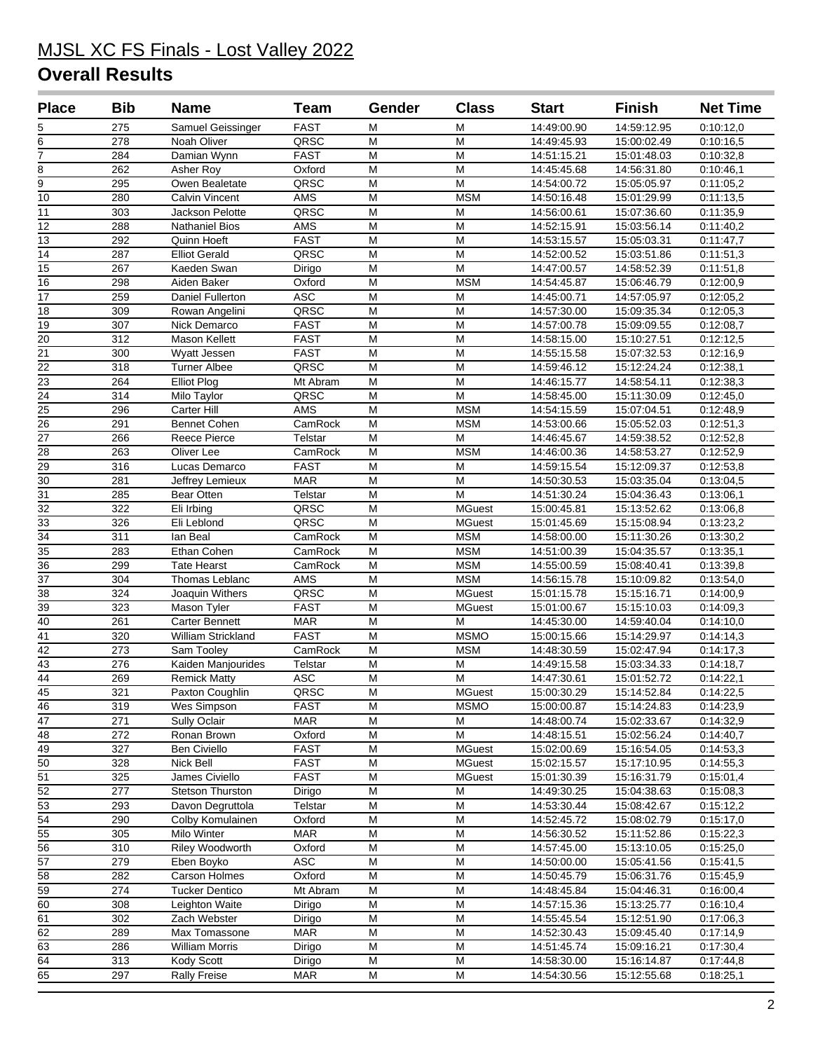## MJSL XC FS Finals - Lost Valley 2022

### **Overall Results**

| <b>Place</b>                       | <b>Bib</b>              | <b>Name</b>                          | <b>Team</b>                | Gender                  | <b>Class</b>                | <b>Start</b>               | <b>Finish</b>              | <b>Net Time</b>        |
|------------------------------------|-------------------------|--------------------------------------|----------------------------|-------------------------|-----------------------------|----------------------------|----------------------------|------------------------|
| 5                                  | 275                     | Samuel Geissinger                    | <b>FAST</b>                | M                       | M                           | 14:49:00.90                | 14:59:12.95                | 0:10:12,0              |
| $\overline{6}$                     | 278                     | Noah Oliver                          | QRSC                       | M                       | M                           | 14:49:45.93                | 15:00:02.49                | 0:10:16,5              |
| $\overline{7}$                     | 284                     | Damian Wynn                          | <b>FAST</b>                | M                       | M                           | 14:51:15.21                | 15:01:48.03                | 0:10:32,8              |
| $\overline{8}$                     | 262                     | Asher Roy                            | Oxford                     | M                       | M                           | 14:45:45.68                | 14:56:31.80                | 0:10:46,1              |
| $\overline{9}$                     | 295                     | Owen Bealetate                       | QRSC                       | M                       | M                           | 14:54:00.72                | 15:05:05.97                | 0:11:05,2              |
| $\overline{10}$                    | 280                     | <b>Calvin Vincent</b>                | AMS                        | M                       | <b>MSM</b>                  | 14:50:16.48                | 15:01:29.99                | 0:11:13,5              |
| 11                                 | 303                     | Jackson Pelotte                      | QRSC                       | M                       | M                           | 14:56:00.61                | 15:07:36.60                | 0:11:35,9              |
| $\overline{12}$                    | 288                     | <b>Nathaniel Bios</b>                | <b>AMS</b>                 | M                       | M                           | 14:52:15.91                | 15:03:56.14                | 0:11:40,2              |
| 13                                 | 292                     | Quinn Hoeft                          | <b>FAST</b>                | M                       | M                           | 14:53:15.57                | 15:05:03.31                | 0:11:47.7              |
| 14                                 | 287                     | <b>Elliot Gerald</b>                 | QRSC                       | M                       | M                           | 14:52:00.52                | 15:03:51.86                | 0:11:51,3              |
| $\overline{15}$                    | 267                     | Kaeden Swan                          | Dirigo                     | M                       | M                           | 14:47:00.57                | 14:58:52.39                | 0:11:51,8              |
| 16                                 | 298                     | Aiden Baker                          | Oxford                     | M                       | <b>MSM</b>                  | 14:54:45.87                | 15:06:46.79                | 0:12:00,9              |
| $\overline{17}$                    | 259                     | Daniel Fullerton                     | <b>ASC</b>                 | M                       | M                           | 14:45:00.71                | 14:57:05.97                | 0:12:05,2              |
| 18                                 | 309                     | Rowan Angelini                       | QRSC                       | M                       | M                           | 14:57:30.00                | 15:09:35.34                | 0:12:05,3              |
| 19                                 | 307                     | Nick Demarco                         | <b>FAST</b><br><b>FAST</b> | M<br>M                  | M<br>M                      | 14:57:00.78                | 15:09:09.55                | 0:12:08,7              |
| 20<br>$\overline{21}$              | 312<br>$\overline{300}$ | Mason Kellett<br>Wyatt Jessen        | <b>FAST</b>                | M                       | M                           | 14:58:15.00                | 15:10:27.51                | 0:12:12,5              |
| $\overline{22}$                    | 318                     | <b>Turner Albee</b>                  | QRSC                       | M                       | M                           | 14:55:15.58<br>14:59:46.12 | 15:07:32.53<br>15:12:24.24 | 0:12:16,9<br>0:12:38,1 |
| 23                                 | 264                     | <b>Elliot Plog</b>                   | Mt Abram                   | M                       | M                           | 14:46:15.77                | 14:58:54.11                | 0:12:38,3              |
| 24                                 | 314                     | Milo Taylor                          | QRSC                       | M                       | M                           | 14:58:45.00                | 15:11:30.09                | 0:12:45,0              |
| $\overline{25}$                    | 296                     | Carter Hill                          | <b>AMS</b>                 | M                       | <b>MSM</b>                  | 14:54:15.59                | 15:07:04.51                | 0:12:48,9              |
| $\overline{26}$                    | 291                     | <b>Bennet Cohen</b>                  | CamRock                    | M                       | <b>MSM</b>                  | 14:53:00.66                | 15:05:52.03                | 0:12:51,3              |
| $\overline{27}$                    | 266                     | <b>Reece Pierce</b>                  | Telstar                    | M                       | M                           | 14:46:45.67                | 14:59:38.52                | 0:12:52,8              |
| 28                                 | 263                     | Oliver Lee                           | CamRock                    | M                       | <b>MSM</b>                  | 14:46:00.36                | 14:58:53.27                | 0:12:52,9              |
| 29                                 | 316                     | Lucas Demarco                        | <b>FAST</b>                | M                       | M                           | 14:59:15.54                | 15:12:09.37                | 0:12:53,8              |
| $\overline{30}$                    | 281                     | Jeffrey Lemieux                      | <b>MAR</b>                 | M                       | M                           | 14:50:30.53                | 15:03:35.04                | 0:13:04,5              |
| $\overline{31}$                    | 285                     | Bear Otten                           | Telstar                    | M                       | M                           | 14:51:30.24                | 15:04:36.43                | 0:13:06,1              |
| $\overline{32}$                    | 322                     | Eli Irbing                           | QRSC                       | M                       | <b>MGuest</b>               | 15:00:45.81                | 15:13:52.62                | 0:13:06,8              |
| 33                                 | 326                     | Eli Leblond                          | QRSC                       | M                       | <b>MGuest</b>               | 15:01:45.69                | 15:15:08.94                | 0:13:23,2              |
| $\overline{34}$                    | 311                     | lan Beal                             | CamRock                    | M                       | <b>MSM</b>                  | 14:58:00.00                | 15:11:30.26                | 0:13:30,2              |
| $\overline{35}$                    | 283                     | Ethan Cohen                          | CamRock                    | M                       | <b>MSM</b>                  | 14:51:00.39                | 15:04:35.57                | 0:13:35,1              |
| $\overline{36}$<br>$\overline{37}$ | 299                     | <b>Tate Hearst</b>                   | CamRock<br>AMS             | M<br>M                  | <b>MSM</b>                  | 14:55:00.59                | 15:08:40.41                | 0:13:39,8              |
| 38                                 | 304<br>324              | Thomas Leblanc<br>Joaquin Withers    | QRSC                       | M                       | <b>MSM</b><br><b>MGuest</b> | 14:56:15.78<br>15:01:15.78 | 15:10:09.82<br>15:15:16.71 | 0:13:54,0<br>0:14:00,9 |
| $\overline{39}$                    | 323                     | Mason Tyler                          | <b>FAST</b>                | M                       | <b>MGuest</b>               | 15:01:00.67                | 15:15:10.03                | 0:14:09,3              |
| $\overline{40}$                    | 261                     | <b>Carter Bennett</b>                | <b>MAR</b>                 | M                       | M                           | 14:45:30.00                | 14:59:40.04                | 0:14:10,0              |
| $\overline{41}$                    | 320                     | William Strickland                   | <b>FAST</b>                | M                       | <b>MSMO</b>                 | 15:00:15.66                | 15:14:29.97                | 0:14:14,3              |
| 42                                 | 273                     | Sam Tooley                           | CamRock                    | M                       | <b>MSM</b>                  | 14:48:30.59                | 15:02:47.94                | 0.14:17,3              |
| $\overline{43}$                    | 276                     | Kaiden Manjourides                   | Telstar                    | M                       | M                           | 14:49:15.58                | 15:03:34.33                | 0:14:18,7              |
| $\overline{44}$                    | 269                     | <b>Remick Matty</b>                  | ASC                        | M                       | M                           | 14:47:30.61                | 15:01:52.72                | 0:14:22,1              |
| $\frac{45}{3}$                     | 321                     | Paxton Coughlin                      | QRSC                       | $\overline{\mathsf{M}}$ | <b>MGuest</b>               | 15:00:30.29                | 15:14:52.84                | 0:14:22,5              |
| 46                                 | 319                     | Wes Simpson                          | <b>FAST</b>                | M                       | <b>MSMO</b>                 | 15:00:00.87                | 15:14:24.83                | 0:14:23,9              |
| 47                                 | 271                     | Sully Oclair                         | <b>MAR</b>                 | M                       | M                           | 14:48:00.74                | 15:02:33.67                | 0:14:32,9              |
| 48                                 | 272                     | Ronan Brown                          | Oxford                     | M                       | M                           | 14:48:15.51                | 15:02:56.24                | 0:14:40,7              |
| 49                                 | 327                     | <b>Ben Civiello</b>                  | <b>FAST</b>                | M                       | <b>MGuest</b>               | 15:02:00.69                | 15:16:54.05                | 0:14:53,3              |
| 50                                 | 328                     | Nick Bell                            | <b>FAST</b>                | M                       | <b>MGuest</b>               | 15:02:15.57                | 15:17:10.95                | 0:14:55,3              |
| 51                                 | 325                     | James Civiello                       | <b>FAST</b>                | M                       | <b>MGuest</b>               | 15:01:30.39                | 15:16:31.79                | 0:15:01,4              |
| 52<br>53                           | 277<br>293              | Stetson Thurston                     | Dirigo<br>Telstar          | M<br>M                  | M<br>M                      | 14:49:30.25                | 15:04:38.63<br>15:08:42.67 | 0:15:08,3              |
| 54                                 | 290                     | Davon Degruttola<br>Colby Komulainen | Oxford                     | M                       | M                           | 14:53:30.44<br>14:52:45.72 | 15:08:02.79                | 0:15:12,2<br>0:15:17,0 |
| 55                                 | 305                     | Milo Winter                          | MAR                        | M                       | M                           | 14:56:30.52                | 15:11:52.86                | 0:15:22,3              |
| 56                                 | 310                     | <b>Riley Woodworth</b>               | Oxford                     | M                       | M                           | 14:57:45.00                | 15:13:10.05                | 0:15:25,0              |
| $\overline{57}$                    | 279                     | Eben Boyko                           | <b>ASC</b>                 | M                       | M                           | 14:50:00.00                | 15:05:41.56                | 0:15:41,5              |
| 58                                 | 282                     | Carson Holmes                        | Oxford                     | M                       | M                           | 14:50:45.79                | 15:06:31.76                | 0:15:45,9              |
| 59                                 | 274                     | <b>Tucker Dentico</b>                | Mt Abram                   | M                       | M                           | 14:48:45.84                | 15:04:46.31                | 0.16:00,4              |
| 60                                 | 308                     | Leighton Waite                       | Dirigo                     | M                       | M                           | 14:57:15.36                | 15:13:25.77                | 0.16:10,4              |
| 61                                 | 302                     | Zach Webster                         | Dirigo                     | M                       | M                           | 14:55:45.54                | 15:12:51.90                | 0:17:06,3              |
| 62                                 | 289                     | Max Tomassone                        | <b>MAR</b>                 | M                       | M                           | 14:52:30.43                | 15:09:45.40                | 0.17:14,9              |
| 63                                 | 286                     | <b>William Morris</b>                | Dirigo                     | M                       | M                           | 14:51:45.74                | 15:09:16.21                | 0.17:30,4              |
| 64                                 | 313                     | Kody Scott                           | Dirigo                     | M                       | M                           | 14:58:30.00                | 15:16:14.87                | 0.17:44,8              |
| 65                                 | 297                     | <b>Rally Freise</b>                  | MAR                        | M                       | M                           | 14:54:30.56                | 15:12:55.68                | 0:18:25,1              |